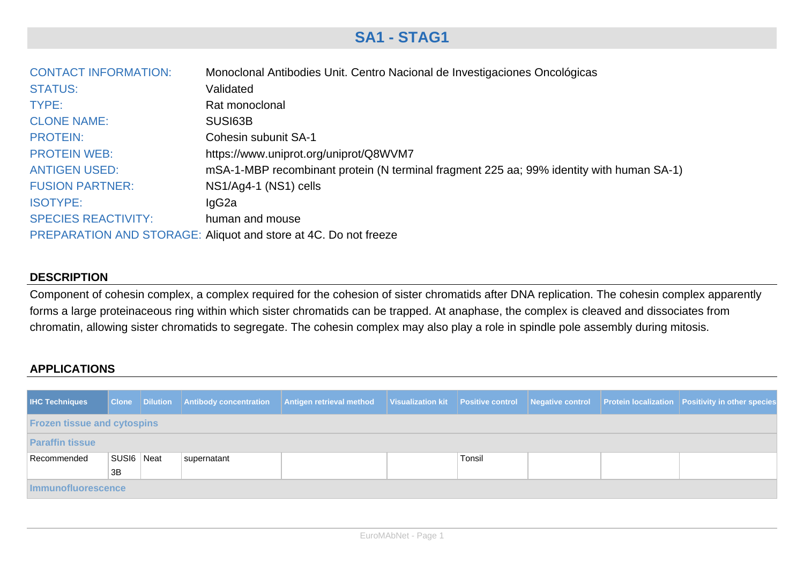## **SA1 - STAG1**

| <b>CONTACT INFORMATION:</b> | Monoclonal Antibodies Unit. Centro Nacional de Investigaciones Oncológicas               |
|-----------------------------|------------------------------------------------------------------------------------------|
| <b>STATUS:</b>              | Validated                                                                                |
| TYPE:                       | Rat monoclonal                                                                           |
| <b>CLONE NAME:</b>          | SUS <sub>163</sub> B                                                                     |
| <b>PROTEIN:</b>             | Cohesin subunit SA-1                                                                     |
| <b>PROTEIN WEB:</b>         | https://www.uniprot.org/uniprot/Q8WVM7                                                   |
| <b>ANTIGEN USED:</b>        | mSA-1-MBP recombinant protein (N terminal fragment 225 aa; 99% identity with human SA-1) |
| <b>FUSION PARTNER:</b>      | NS1/Ag4-1 (NS1) cells                                                                    |
| <b>ISOTYPE:</b>             | lgG <sub>2a</sub>                                                                        |
| <b>SPECIES REACTIVITY:</b>  | human and mouse                                                                          |
|                             | PREPARATION AND STORAGE: Aliquot and store at 4C. Do not freeze                          |

## **DESCRIPTION**

Component of cohesin complex, a complex required for the cohesion of sister chromatids after DNA replication. The cohesin complex apparently forms a large proteinaceous ring within which sister chromatids can be trapped. At anaphase, the complex is cleaved and dissociates from chromatin, allowing sister chromatids to segregate. The cohesin complex may also play a role in spindle pole assembly during mitosis.

## **APPLICATIONS**

| <b>IHC Techniques</b>              |            |  | <b>Clone Dilution Antibody concentration</b> | Antigen retrieval method |  |        |  |  | Visualization kit Positive control Negative control Protein localization Positivity in other species |  |
|------------------------------------|------------|--|----------------------------------------------|--------------------------|--|--------|--|--|------------------------------------------------------------------------------------------------------|--|
| <b>Frozen tissue and cytospins</b> |            |  |                                              |                          |  |        |  |  |                                                                                                      |  |
| <b>Paraffin tissue</b>             |            |  |                                              |                          |  |        |  |  |                                                                                                      |  |
| Recommended                        | SUSI6 Neat |  | supernatant                                  |                          |  | Tonsil |  |  |                                                                                                      |  |
|                                    | 3B         |  |                                              |                          |  |        |  |  |                                                                                                      |  |
| Immunofluorescence                 |            |  |                                              |                          |  |        |  |  |                                                                                                      |  |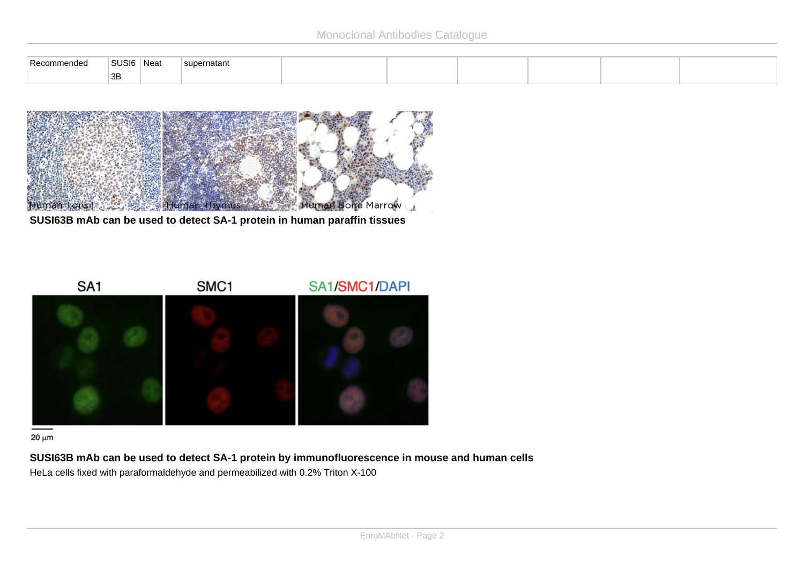| . Re<br>naec | and the contract of the contract of the<br>USI6<br>$\sim$ | Nea | natant<br><b>SUIP</b> |  |  |  |
|--------------|-----------------------------------------------------------|-----|-----------------------|--|--|--|
|              | 3B                                                        |     |                       |  |  |  |



**SUSI63B mAb can be used to detect SA-1 protein in human paraffin tissues**



 $20 \mu m$ 

**SUSI63B mAb can be used to detect SA-1 protein by immunofluorescence in mouse and human cells** HeLa cells fixed with paraformaldehyde and permeabilized with 0.2% Triton X-100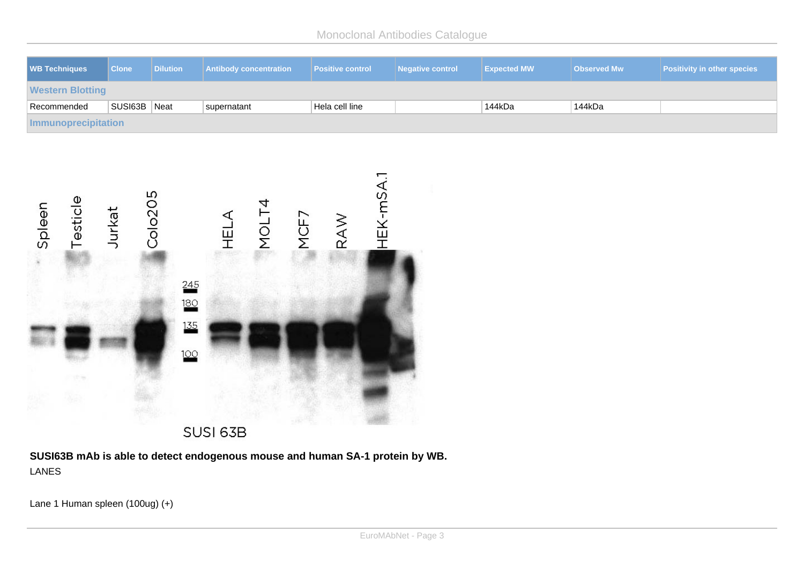Monoclonal Antibodies Catalogue

| <b>WB Techniques</b>              | <b>Clone</b>      | <b>Dilution</b>          | <b>Antibody concentration</b> |               | <b>Positive control</b> | <b>Negative control</b> | <b>Expected MW</b> | <b>Observed Mw</b> | <b>Positivity in other species</b> |
|-----------------------------------|-------------------|--------------------------|-------------------------------|---------------|-------------------------|-------------------------|--------------------|--------------------|------------------------------------|
| <b>Western Blotting</b>           |                   |                          |                               |               |                         |                         |                    |                    |                                    |
| Recommended                       | SUSI63B Neat      |                          | supernatant                   |               | Hela cell line          |                         | 144kDa             | 144kDa             |                                    |
| <b>Immunoprecipitation</b>        |                   |                          |                               |               |                         |                         |                    |                    |                                    |
| Testicle<br>Spleen<br><b>TEST</b> | Colo205<br>Jurkat | 245<br>180<br>135<br>100 | HELA                          | MOLT4<br>MCF7 | HEK-mSA.1<br>RAW        |                         |                    |                    |                                    |
| $\lambda$                         |                   |                          | SUSI 63B                      |               |                         |                         |                    |                    |                                    |

**SUSI63B mAb is able to detect endogenous mouse and human SA-1 protein by WB.** LANES

Lane 1 Human spleen  $(100ug) (+)$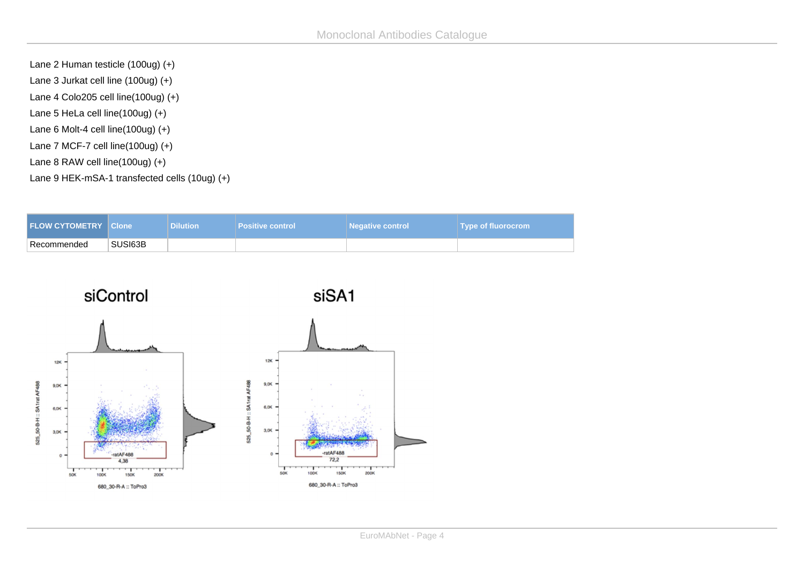Lane 2 Human testicle  $(100u) (+)$ Lane 3 Jurkat cell line  $(100ug) (+)$ Lane 4 Colo205 cell line  $(100ug) (+)$ Lane 5 HeLa cell line  $(100u) (+)$ Lane 6 Molt-4 cell line  $(100u) (+)$ Lane 7 MCF-7 cell line  $(100ug) (+)$ Lane 8 RAW cell line  $(100ug) (+)$ Lane 9 HEK-mSA-1 transfected cells (10ug) (+)

| <b>FLOW CYTOMETRY Clone</b> |         | <b>Dilution</b> | <b>Positive control</b> | <b>Negative control</b> | <b>Type of fluorocrom</b> |
|-----------------------------|---------|-----------------|-------------------------|-------------------------|---------------------------|
| <sup>⊦</sup> Recommended    | SUSI63B |                 |                         |                         |                           |

siControl